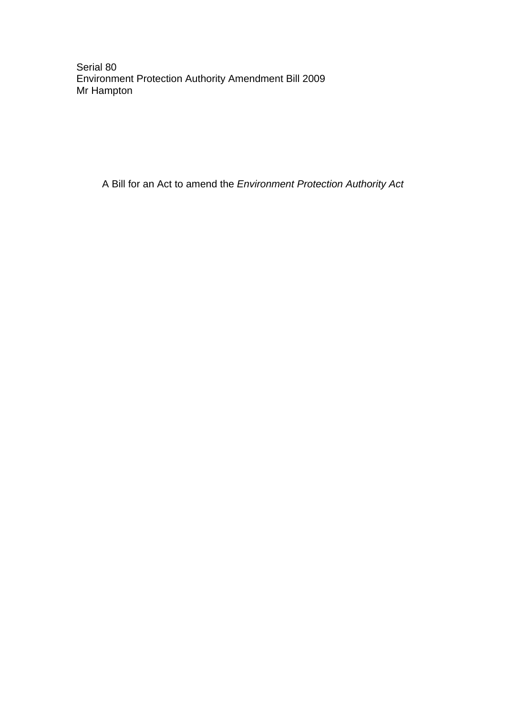Serial 80 Environment Protection Authority Amendment Bill 2009 Mr Hampton

A Bill for an Act to amend the *Environment Protection Authority Act*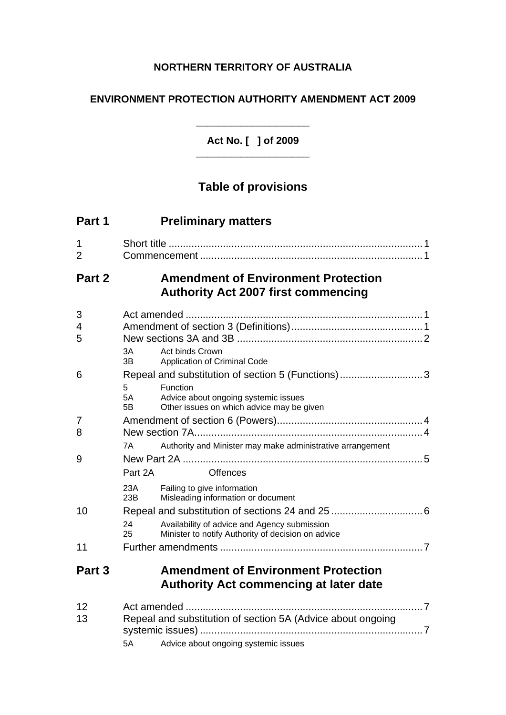## **NORTHERN TERRITORY OF AUSTRALIA**

## **ENVIRONMENT PROTECTION AUTHORITY AMENDMENT ACT 2009**

**Act No. [ ] of 2009**  \_\_\_\_\_\_\_\_\_\_\_\_\_\_\_\_\_\_\_\_

 $\overline{\phantom{a}}$  , where  $\overline{\phantom{a}}$  , where  $\overline{\phantom{a}}$  , where  $\overline{\phantom{a}}$  , where  $\overline{\phantom{a}}$ 

# **Table of provisions**

| Part 1              |                                                                                                                                                                                                   | <b>Preliminary matters</b>                                                                                                                                                         |  |
|---------------------|---------------------------------------------------------------------------------------------------------------------------------------------------------------------------------------------------|------------------------------------------------------------------------------------------------------------------------------------------------------------------------------------|--|
| 1<br>$\overline{2}$ |                                                                                                                                                                                                   |                                                                                                                                                                                    |  |
| Part 2              | <b>Amendment of Environment Protection</b><br><b>Authority Act 2007 first commencing</b>                                                                                                          |                                                                                                                                                                                    |  |
| 3<br>4<br>5         | 3A<br>3B                                                                                                                                                                                          | Act binds Crown                                                                                                                                                                    |  |
| 6                   | 5.<br>5A<br>5B                                                                                                                                                                                    | Application of Criminal Code<br>Repeal and substitution of section 5 (Functions)3<br>Function<br>Advice about ongoing systemic issues<br>Other issues on which advice may be given |  |
| 7<br>8              | Authority and Minister may make administrative arrangement<br>7A                                                                                                                                  |                                                                                                                                                                                    |  |
| 9                   | Part 2A                                                                                                                                                                                           | <b>Offences</b>                                                                                                                                                                    |  |
| 10                  | 23A<br>Failing to give information<br>Misleading information or document<br>23B<br>24<br>Availability of advice and Agency submission<br>Minister to notify Authority of decision on advice<br>25 |                                                                                                                                                                                    |  |
| 11                  |                                                                                                                                                                                                   |                                                                                                                                                                                    |  |
| Part 3              |                                                                                                                                                                                                   | <b>Amendment of Environment Protection</b><br><b>Authority Act commencing at later date</b>                                                                                        |  |
| 12<br>13            | Repeal and substitution of section 5A (Advice about ongoing<br>Advice about ongoing systemic issues<br>5A                                                                                         |                                                                                                                                                                                    |  |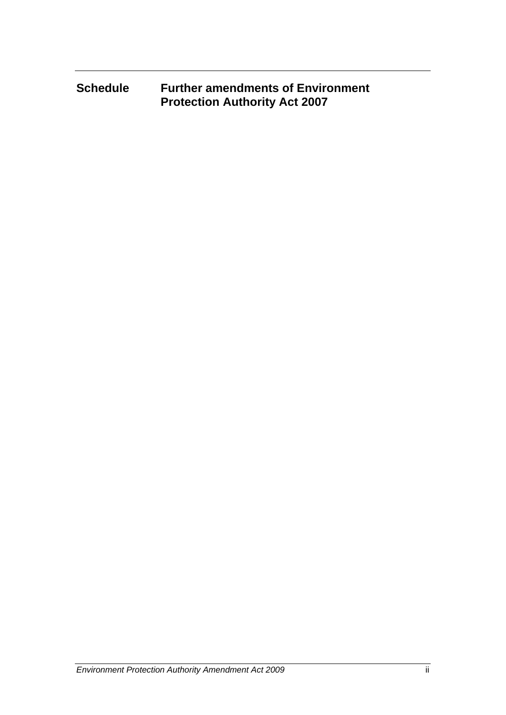## **Schedule Further amendments of Environment Protection Authority Act 2007**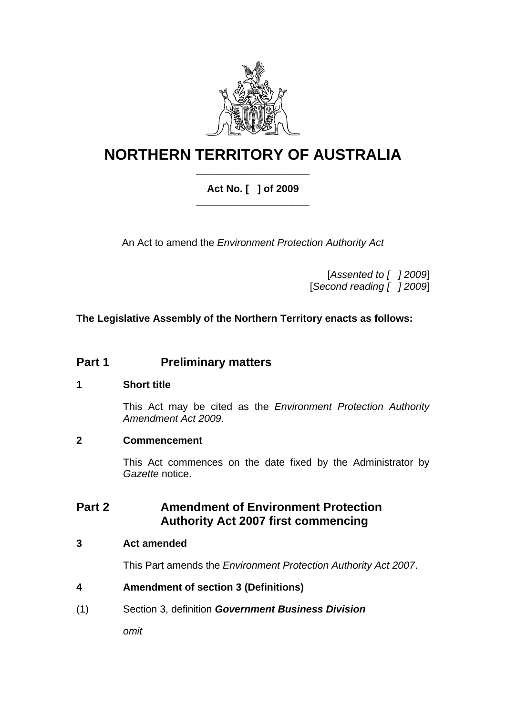

## **NORTHERN TERRITORY OF AUSTRALIA** \_\_\_\_\_\_\_\_\_\_\_\_\_\_\_\_\_\_\_\_

## **Act No. [ ] of 2009**  \_\_\_\_\_\_\_\_\_\_\_\_\_\_\_\_\_\_\_\_

An Act to amend the *Environment Protection Authority Act*

[*Assented to [ ] 2009*] [*Second reading [ ] 2009*]

## **The Legislative Assembly of the Northern Territory enacts as follows:**

## **Part 1** Preliminary matters

## <span id="page-3-0"></span>**1 Short title**

This Act may be cited as the *Environment Protection Authority Amendment Act 2009*.

## <span id="page-3-1"></span>**2 Commencement**

This Act commences on the date fixed by the Administrator by *Gazette* notice.

## **Part 2 Amendment of Environment Protection Authority Act 2007 first commencing**

## <span id="page-3-2"></span>**3 Act amended**

This Part amends the *Environment Protection Authority Act 2007*.

## <span id="page-3-3"></span>**4 Amendment of section 3 (Definitions)**

(1) Section 3, definition *Government Business Division*

*omit*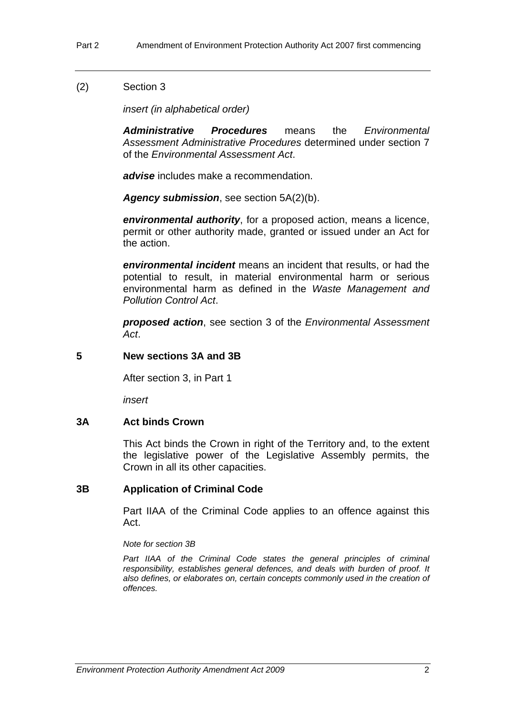### (2) Section 3

*insert (in alphabetical order)* 

*Administrative Procedures* means the *Environmental Assessment Administrative Procedures* determined under section 7 of the *Environmental Assessment Act*.

*advise* includes make a recommendation.

*Agency submission*, see section 5A(2)(b).

*environmental authority*, for a proposed action, means a licence, permit or other authority made, granted or issued under an Act for the action.

*environmental incident* means an incident that results, or had the potential to result, in material environmental harm or serious environmental harm as defined in the *Waste Management and Pollution Control Act*.

*proposed action*, see section 3 of the *Environmental Assessment Act*.

#### <span id="page-4-0"></span>**5 New sections 3A and 3B**

After section 3, in Part 1

*insert* 

#### **3A Act binds Crown**

This Act binds the Crown in right of the Territory and, to the extent the legislative power of the Legislative Assembly permits, the Crown in all its other capacities.

#### **3B Application of Criminal Code**

Part IIAA of the Criminal Code applies to an offence against this Act.

*Note for section 3B* 

Part IIAA of the Criminal Code states the general principles of criminal *responsibility, establishes general defences, and deals with burden of proof. It also defines, or elaborates on, certain concepts commonly used in the creation of offences.*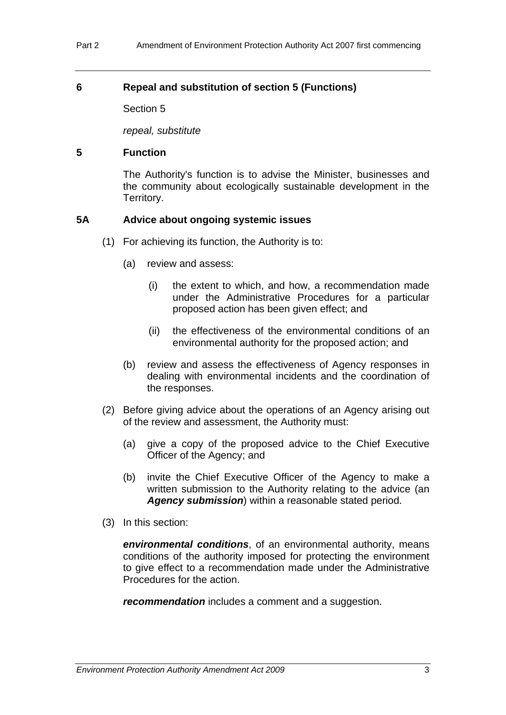### <span id="page-5-0"></span>**6 Repeal and substitution of section 5 (Functions)**

Section 5

*repeal, substitute* 

#### **5 Function**

The Authority's function is to advise the Minister, businesses and the community about ecologically sustainable development in the Territory.

### **5A Advice about ongoing systemic issues**

- (1) For achieving its function, the Authority is to:
	- (a) review and assess:
		- (i) the extent to which, and how, a recommendation made under the Administrative Procedures for a particular proposed action has been given effect; and
		- (ii) the effectiveness of the environmental conditions of an environmental authority for the proposed action; and
	- (b) review and assess the effectiveness of Agency responses in dealing with environmental incidents and the coordination of the responses.
- (2) Before giving advice about the operations of an Agency arising out of the review and assessment, the Authority must:
	- (a) give a copy of the proposed advice to the Chief Executive Officer of the Agency; and
	- (b) invite the Chief Executive Officer of the Agency to make a written submission to the Authority relating to the advice (an *Agency submission*) within a reasonable stated period.
- (3) In this section:

*environmental conditions*, of an environmental authority, means conditions of the authority imposed for protecting the environment to give effect to a recommendation made under the Administrative Procedures for the action.

*recommendation* includes a comment and a suggestion.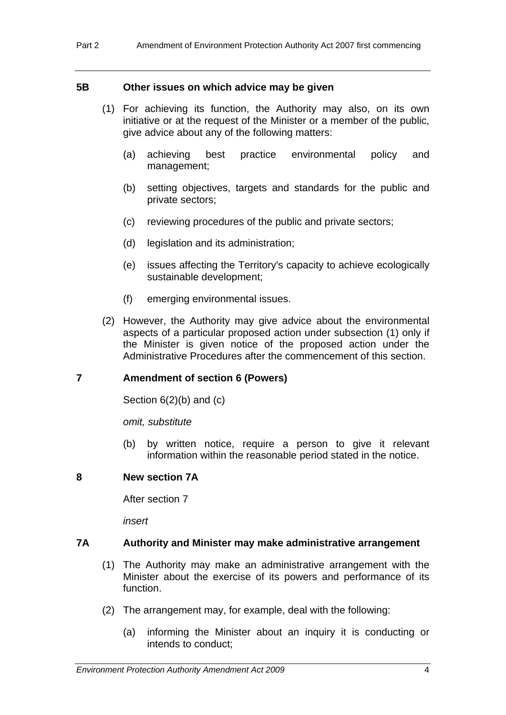#### **5B Other issues on which advice may be given**

- (1) For achieving its function, the Authority may also, on its own initiative or at the request of the Minister or a member of the public, give advice about any of the following matters:
	- (a) achieving best practice environmental policy and management;
	- (b) setting objectives, targets and standards for the public and private sectors;
	- (c) reviewing procedures of the public and private sectors;
	- (d) legislation and its administration;
	- (e) issues affecting the Territory's capacity to achieve ecologically sustainable development;
	- (f) emerging environmental issues.
- (2) However, the Authority may give advice about the environmental aspects of a particular proposed action under subsection (1) only if the Minister is given notice of the proposed action under the Administrative Procedures after the commencement of this section.

#### <span id="page-6-0"></span>**7 Amendment of section 6 (Powers)**

Section 6(2)(b) and (c)

*omit, substitute* 

(b) by written notice, require a person to give it relevant information within the reasonable period stated in the notice.

#### <span id="page-6-1"></span>**8 New section 7A**

After section 7

*insert* 

#### **7A Authority and Minister may make administrative arrangement**

- (1) The Authority may make an administrative arrangement with the Minister about the exercise of its powers and performance of its function.
- (2) The arrangement may, for example, deal with the following:
	- (a) informing the Minister about an inquiry it is conducting or intends to conduct;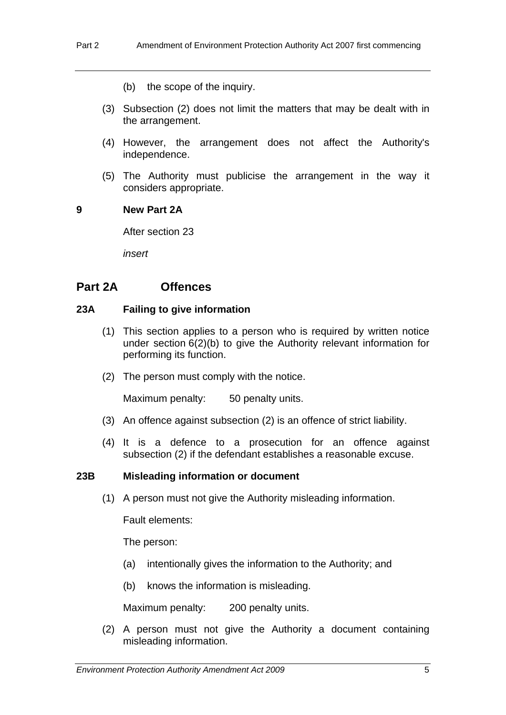- (b) the scope of the inquiry.
- (3) Subsection (2) does not limit the matters that may be dealt with in the arrangement.
- (4) However, the arrangement does not affect the Authority's independence.
- (5) The Authority must publicise the arrangement in the way it considers appropriate.

#### <span id="page-7-0"></span>**9 New Part 2A**

After section 23

*insert* 

## **Part 2A Offences**

### **23A Failing to give information**

- (1) This section applies to a person who is required by written notice under section 6(2)(b) to give the Authority relevant information for performing its function.
- (2) The person must comply with the notice.

Maximum penalty: 50 penalty units.

- (3) An offence against subsection (2) is an offence of strict liability.
- (4) It is a defence to a prosecution for an offence against subsection (2) if the defendant establishes a reasonable excuse.

#### **23B Misleading information or document**

(1) A person must not give the Authority misleading information.

Fault elements:

The person:

- (a) intentionally gives the information to the Authority; and
- (b) knows the information is misleading.

Maximum penalty: 200 penalty units.

 (2) A person must not give the Authority a document containing misleading information.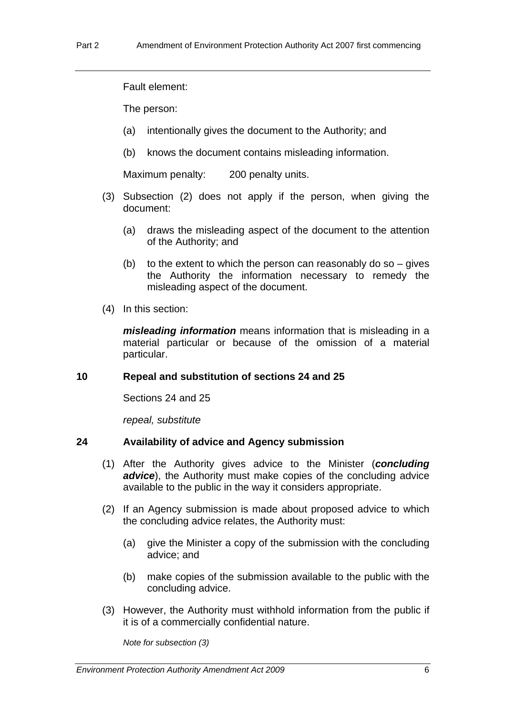Fault element:

The person:

- (a) intentionally gives the document to the Authority; and
- (b) knows the document contains misleading information.

Maximum penalty: 200 penalty units.

- (3) Subsection (2) does not apply if the person, when giving the document:
	- (a) draws the misleading aspect of the document to the attention of the Authority; and
	- (b) to the extent to which the person can reasonably do so  $-$  gives the Authority the information necessary to remedy the misleading aspect of the document.
- (4) In this section:

*misleading information* means information that is misleading in a material particular or because of the omission of a material particular.

#### <span id="page-8-0"></span>**10 Repeal and substitution of sections 24 and 25**

Sections 24 and 25

*repeal, substitute* 

#### **24 Availability of advice and Agency submission**

- (1) After the Authority gives advice to the Minister (*concluding advice*), the Authority must make copies of the concluding advice available to the public in the way it considers appropriate.
- (2) If an Agency submission is made about proposed advice to which the concluding advice relates, the Authority must:
	- (a) give the Minister a copy of the submission with the concluding advice; and
	- (b) make copies of the submission available to the public with the concluding advice.
- (3) However, the Authority must withhold information from the public if it is of a commercially confidential nature.

*Note for subsection (3)*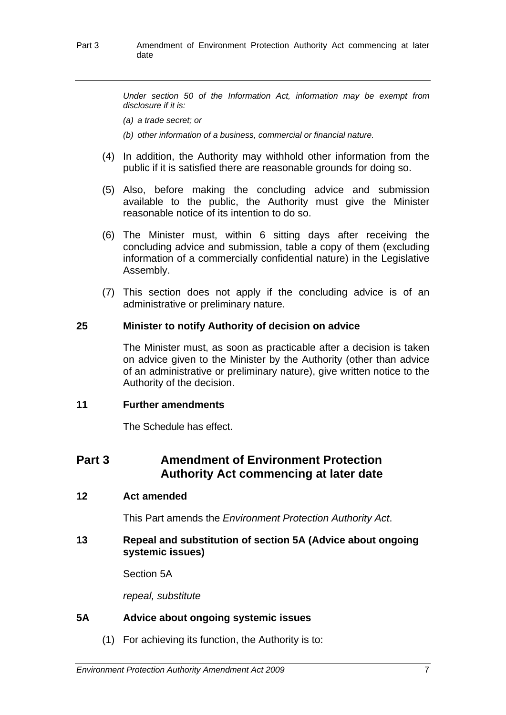*Under section 50 of the Information Act, information may be exempt from disclosure if it is:* 

*(a) a trade secret; or* 

*(b) other information of a business, commercial or financial nature.* 

- (4) In addition, the Authority may withhold other information from the public if it is satisfied there are reasonable grounds for doing so.
- (5) Also, before making the concluding advice and submission available to the public, the Authority must give the Minister reasonable notice of its intention to do so.
- (6) The Minister must, within 6 sitting days after receiving the concluding advice and submission, table a copy of them (excluding information of a commercially confidential nature) in the Legislative Assembly.
- (7) This section does not apply if the concluding advice is of an administrative or preliminary nature.

#### **25 Minister to notify Authority of decision on advice**

The Minister must, as soon as practicable after a decision is taken on advice given to the Minister by the Authority (other than advice of an administrative or preliminary nature), give written notice to the Authority of the decision.

#### <span id="page-9-0"></span>**11 Further amendments**

The Schedule has effect.

## **Part 3 Amendment of Environment Protection Authority Act commencing at later date**

#### <span id="page-9-1"></span>**12 Act amended**

This Part amends the *Environment Protection Authority Act*.

#### <span id="page-9-2"></span>**13 Repeal and substitution of section 5A (Advice about ongoing systemic issues)**

Section 5A

*repeal, substitute* 

#### **5A Advice about ongoing systemic issues**

(1) For achieving its function, the Authority is to: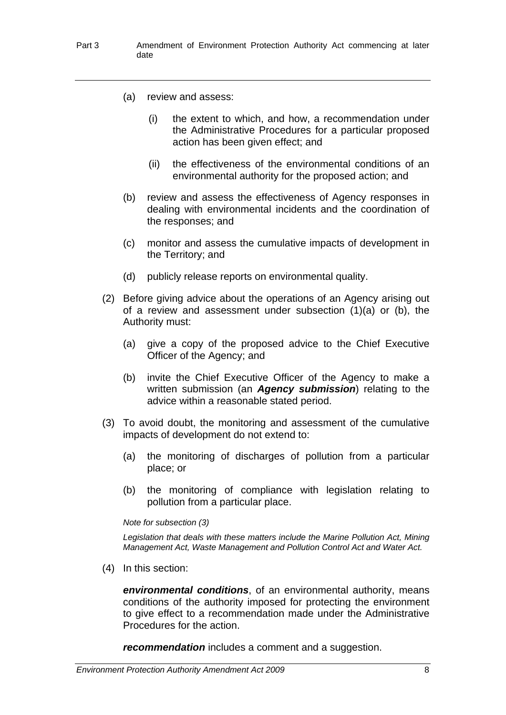- (a) review and assess:
	- (i) the extent to which, and how, a recommendation under the Administrative Procedures for a particular proposed action has been given effect; and
	- (ii) the effectiveness of the environmental conditions of an environmental authority for the proposed action; and
- (b) review and assess the effectiveness of Agency responses in dealing with environmental incidents and the coordination of the responses; and
- (c) monitor and assess the cumulative impacts of development in the Territory; and
- (d) publicly release reports on environmental quality.
- (2) Before giving advice about the operations of an Agency arising out of a review and assessment under subsection (1)(a) or (b), the Authority must:
	- (a) give a copy of the proposed advice to the Chief Executive Officer of the Agency; and
	- (b) invite the Chief Executive Officer of the Agency to make a written submission (an *Agency submission*) relating to the advice within a reasonable stated period.
- (3) To avoid doubt, the monitoring and assessment of the cumulative impacts of development do not extend to:
	- (a) the monitoring of discharges of pollution from a particular place; or
	- (b) the monitoring of compliance with legislation relating to pollution from a particular place.

#### *Note for subsection (3)*

*Legislation that deals with these matters include the Marine Pollution Act, Mining Management Act, Waste Management and Pollution Control Act and Water Act.* 

(4) In this section:

*environmental conditions*, of an environmental authority, means conditions of the authority imposed for protecting the environment to give effect to a recommendation made under the Administrative Procedures for the action.

*recommendation* includes a comment and a suggestion.